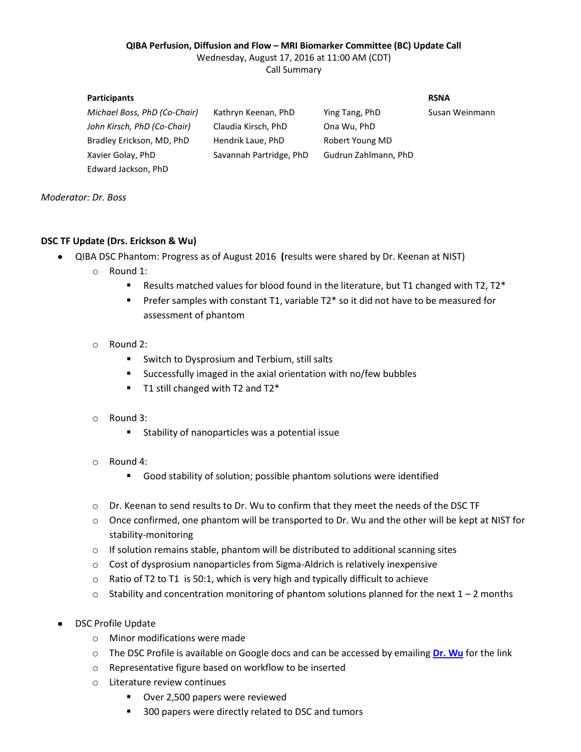#### **QIBA Perfusion, Diffusion and Flow – MRI Biomarker Committee (BC) Update Call**

Wednesday, August 17, 2016 at 11:00 AM (CDT)

Call Summary

#### **Participants RSNA**

*Michael Boss, PhD (Co-Chair)* Kathryn Keenan, PhD Ying Tang, PhD Susan Weinmann *John Kirsch, PhD (Co-Chair)* Claudia Kirsch, PhD Ona Wu, PhD Bradley Erickson, MD, PhD Hendrik Laue, PhD Robert Young MD Xavier Golay, PhD Savannah Partridge, PhD Gudrun Zahlmann, PhD

*Moderator: Dr. Boss*

# **DSC TF Update (Drs. Erickson & Wu)**

Edward Jackson, PhD

- $\bullet$ QIBA DSC Phantom: Progress as of August 2016 **(**results were shared by Dr. Keenan at NIST)
	- o Round 1:
		- **Results matched values for blood found in the literature, but T1 changed with T2, T2\***
		- Prefer samples with constant T1, variable T2<sup>\*</sup> so it did not have to be measured for assessment of phantom
	- o Round 2:
		- **Switch to Dysprosium and Terbium, still salts**
		- Successfully imaged in the axial orientation with no/few bubbles
		- $\blacksquare$  T1 still changed with T2 and T2\*

## o Round 3:

- Stability of nanoparticles was a potential issue
- o Round 4:
	- Good stability of solution; possible phantom solutions were identified
- o Dr. Keenan to send results to Dr. Wu to confirm that they meet the needs of the DSC TF
- o Once confirmed, one phantom will be transported to Dr. Wu and the other will be kept at NIST for stability-monitoring
- o If solution remains stable, phantom will be distributed to additional scanning sites
- o Cost of dysprosium nanoparticles from Sigma-Aldrich is relatively inexpensive
- o Ratio of T2 to T1 is 50:1, which is very high and typically difficult to achieve
- $\circ$  Stability and concentration monitoring of phantom solutions planned for the next 1 2 months
- DSC Profile Update
	- o Minor modifications were made
	- o The DSC Profile is available on Google docs and can be accessed by emailing **[Dr. Wu](mailto:ona@nmr.mgh.harvard.edu)** for the link
	- o Representative figure based on workflow to be inserted
	- o Literature review continues
		- **Diver 2,500 papers were reviewed**
		- 300 papers were directly related to DSC and tumors